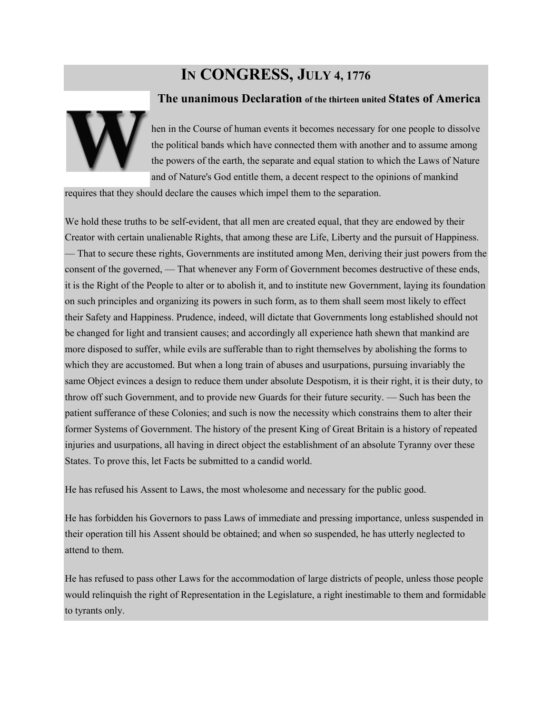## **IN CONGRESS, JULY 4, 1776**



## **The unanimous Declaration of the thirteen united States of America**

hen in the Course of human events it becomes necessary for one people to dissolve the political bands which have connected them with another and to assume among the powers of the earth, the separate and equal station to which the Laws of Nature and of Nature's God entitle them, a decent respect to the opinions of mankind

requires that they should declare the causes which impel them to the separation.

We hold these truths to be self-evident, that all men are created equal, that they are endowed by their Creator with certain unalienable Rights, that among these are Life, Liberty and the pursuit of Happiness. — That to secure these rights, Governments are instituted among Men, deriving their just powers from the consent of the governed, — That whenever any Form of Government becomes destructive of these ends, it is the Right of the People to alter or to abolish it, and to institute new Government, laying its foundation on such principles and organizing its powers in such form, as to them shall seem most likely to effect their Safety and Happiness. Prudence, indeed, will dictate that Governments long established should not be changed for light and transient causes; and accordingly all experience hath shewn that mankind are more disposed to suffer, while evils are sufferable than to right themselves by abolishing the forms to which they are accustomed. But when a long train of abuses and usurpations, pursuing invariably the same Object evinces a design to reduce them under absolute Despotism, it is their right, it is their duty, to throw off such Government, and to provide new Guards for their future security. — Such has been the patient sufferance of these Colonies; and such is now the necessity which constrains them to alter their former Systems of Government. The history of the present King of Great Britain is a history of repeated injuries and usurpations, all having in direct object the establishment of an absolute Tyranny over these States. To prove this, let Facts be submitted to a candid world.

He has refused his Assent to Laws, the most wholesome and necessary for the public good.

He has forbidden his Governors to pass Laws of immediate and pressing importance, unless suspended in their operation till his Assent should be obtained; and when so suspended, he has utterly neglected to attend to them.

He has refused to pass other Laws for the accommodation of large districts of people, unless those people would relinquish the right of Representation in the Legislature, a right inestimable to them and formidable to tyrants only.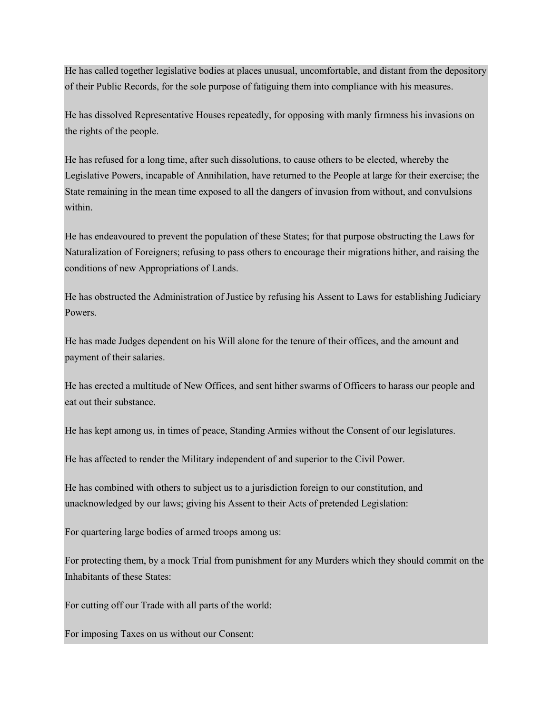He has called together legislative bodies at places unusual, uncomfortable, and distant from the depository of their Public Records, for the sole purpose of fatiguing them into compliance with his measures.

He has dissolved Representative Houses repeatedly, for opposing with manly firmness his invasions on the rights of the people.

He has refused for a long time, after such dissolutions, to cause others to be elected, whereby the Legislative Powers, incapable of Annihilation, have returned to the People at large for their exercise; the State remaining in the mean time exposed to all the dangers of invasion from without, and convulsions within.

He has endeavoured to prevent the population of these States; for that purpose obstructing the Laws for Naturalization of Foreigners; refusing to pass others to encourage their migrations hither, and raising the conditions of new Appropriations of Lands.

He has obstructed the Administration of Justice by refusing his Assent to Laws for establishing Judiciary Powers.

He has made Judges dependent on his Will alone for the tenure of their offices, and the amount and payment of their salaries.

He has erected a multitude of New Offices, and sent hither swarms of Officers to harass our people and eat out their substance.

He has kept among us, in times of peace, Standing Armies without the Consent of our legislatures.

He has affected to render the Military independent of and superior to the Civil Power.

He has combined with others to subject us to a jurisdiction foreign to our constitution, and unacknowledged by our laws; giving his Assent to their Acts of pretended Legislation:

For quartering large bodies of armed troops among us:

For protecting them, by a mock Trial from punishment for any Murders which they should commit on the Inhabitants of these States:

For cutting off our Trade with all parts of the world:

For imposing Taxes on us without our Consent: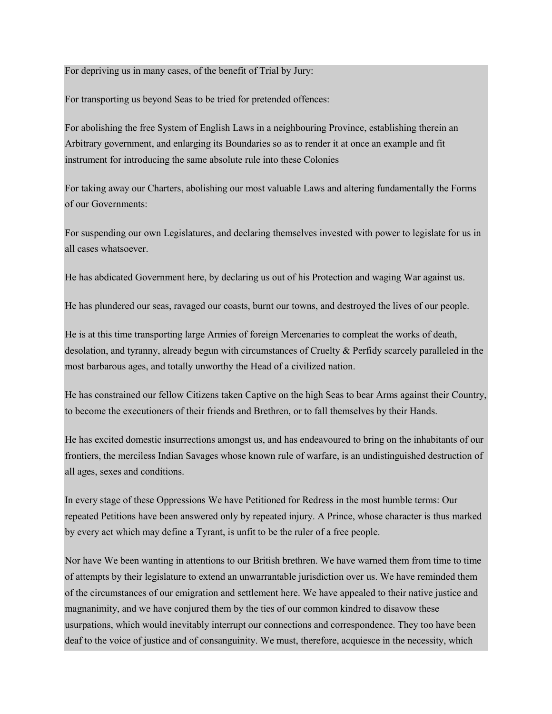## For depriving us in many cases, of the benefit of Trial by Jury:

For transporting us beyond Seas to be tried for pretended offences:

For abolishing the free System of English Laws in a neighbouring Province, establishing therein an Arbitrary government, and enlarging its Boundaries so as to render it at once an example and fit instrument for introducing the same absolute rule into these Colonies

For taking away our Charters, abolishing our most valuable Laws and altering fundamentally the Forms of our Governments:

For suspending our own Legislatures, and declaring themselves invested with power to legislate for us in all cases whatsoever.

He has abdicated Government here, by declaring us out of his Protection and waging War against us.

He has plundered our seas, ravaged our coasts, burnt our towns, and destroyed the lives of our people.

He is at this time transporting large Armies of foreign Mercenaries to compleat the works of death, desolation, and tyranny, already begun with circumstances of Cruelty & Perfidy scarcely paralleled in the most barbarous ages, and totally unworthy the Head of a civilized nation.

He has constrained our fellow Citizens taken Captive on the high Seas to bear Arms against their Country, to become the executioners of their friends and Brethren, or to fall themselves by their Hands.

He has excited domestic insurrections amongst us, and has endeavoured to bring on the inhabitants of our frontiers, the merciless Indian Savages whose known rule of warfare, is an undistinguished destruction of all ages, sexes and conditions.

In every stage of these Oppressions We have Petitioned for Redress in the most humble terms: Our repeated Petitions have been answered only by repeated injury. A Prince, whose character is thus marked by every act which may define a Tyrant, is unfit to be the ruler of a free people.

Nor have We been wanting in attentions to our British brethren. We have warned them from time to time of attempts by their legislature to extend an unwarrantable jurisdiction over us. We have reminded them of the circumstances of our emigration and settlement here. We have appealed to their native justice and magnanimity, and we have conjured them by the ties of our common kindred to disavow these usurpations, which would inevitably interrupt our connections and correspondence. They too have been deaf to the voice of justice and of consanguinity. We must, therefore, acquiesce in the necessity, which